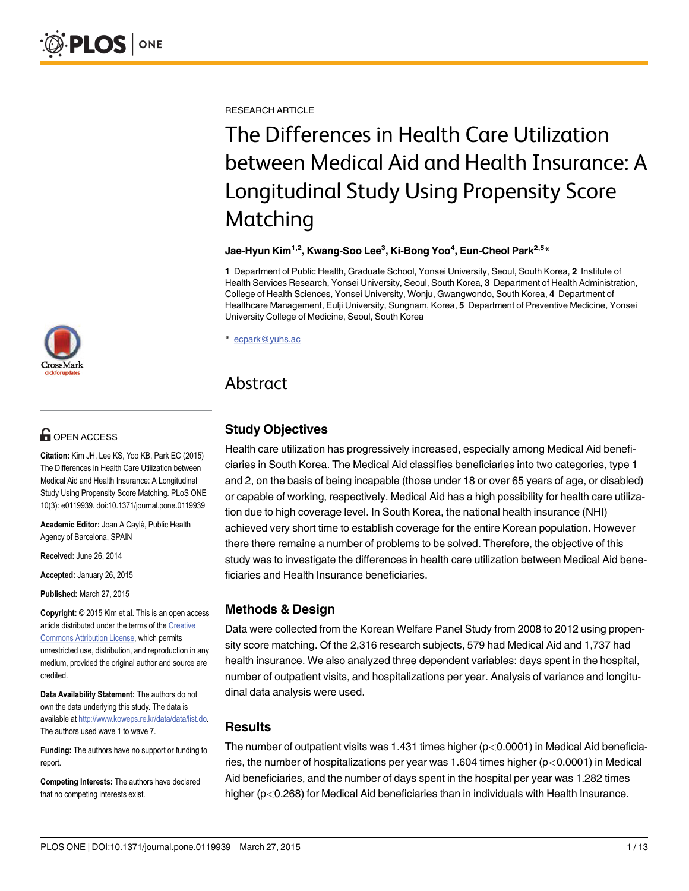[a11111](http://crossmark.crossref.org/dialog/?doi=10.1371/journal.pone.0119939&domain=pdf)

# $\mathbf{G}$  open access

Citation: Kim JH, Lee KS, Yoo KB, Park EC (2015) The Differences in Health Care Utilization between Medical Aid and Health Insurance: A Longitudinal Study Using Propensity Score Matching. PLoS ONE 10(3): e0119939. doi:10.1371/journal.pone.0119939

Academic Editor: Joan A Caylà, Public Health Agency of Barcelona, SPAIN

Received: June 26, 2014

Accepted: January 26, 2015

Published: March 27, 2015

Copyright: © 2015 Kim et al. This is an open access article distributed under the terms of the [Creative](http://creativecommons.org/licenses/by/4.0/) [Commons Attribution License](http://creativecommons.org/licenses/by/4.0/), which permits unrestricted use, distribution, and reproduction in any medium, provided the original author and source are credited.

Data Availability Statement: The authors do not own the data underlying this study. The data is available at [http://www.koweps.re.kr/data/data/list.do.](http://www.koweps.re.kr/data/data/list.do) The authors used wave 1 to wave 7.

Funding: The authors have no support or funding to report.

Competing Interests: The authors have declared that no competing interests exist.

RESEARCH ARTICLE

# The Differences in Health Care Utilization between Medical Aid and Health Insurance: A Longitudinal Study Using Propensity Score Matching

Jae-Hyun Kim<sup>1,2</sup>, Kwang-Soo Lee<sup>3</sup>, Ki-Bong Yoo<sup>4</sup>, Eun-Cheol Park<sup>2,5</sup>\*

1 Department of Public Health, Graduate School, Yonsei University, Seoul, South Korea, 2 Institute of Health Services Research, Yonsei University, Seoul, South Korea, 3 Department of Health Administration, College of Health Sciences, Yonsei University, Wonju, Gwangwondo, South Korea, 4 Department of Healthcare Management, Eulji University, Sungnam, Korea, 5 Department of Preventive Medicine, Yonsei University College of Medicine, Seoul, South Korea

\* ecpark@yuhs.ac

# Abstract

# Study Objectives

Health care utilization has progressively increased, especially among Medical Aid beneficiaries in South Korea. The Medical Aid classifies beneficiaries into two categories, type 1 and 2, on the basis of being incapable (those under 18 or over 65 years of age, or disabled) or capable of working, respectively. Medical Aid has a high possibility for health care utilization due to high coverage level. In South Korea, the national health insurance (NHI) achieved very short time to establish coverage for the entire Korean population. However there there remaine a number of problems to be solved. Therefore, the objective of this study was to investigate the differences in health care utilization between Medical Aid beneficiaries and Health Insurance beneficiaries.

# Methods & Design

Data were collected from the Korean Welfare Panel Study from 2008 to 2012 using propensity score matching. Of the 2,316 research subjects, 579 had Medical Aid and 1,737 had health insurance. We also analyzed three dependent variables: days spent in the hospital, number of outpatient visits, and hospitalizations per year. Analysis of variance and longitudinal data analysis were used.

## Results

The number of outpatient visits was 1.431 times higher  $(p<0.0001)$  in Medical Aid beneficiaries, the number of hospitalizations per year was 1.604 times higher ( $p < 0.0001$ ) in Medical Aid beneficiaries, and the number of days spent in the hospital per year was 1.282 times higher (p<0.268) for Medical Aid beneficiaries than in individuals with Health Insurance.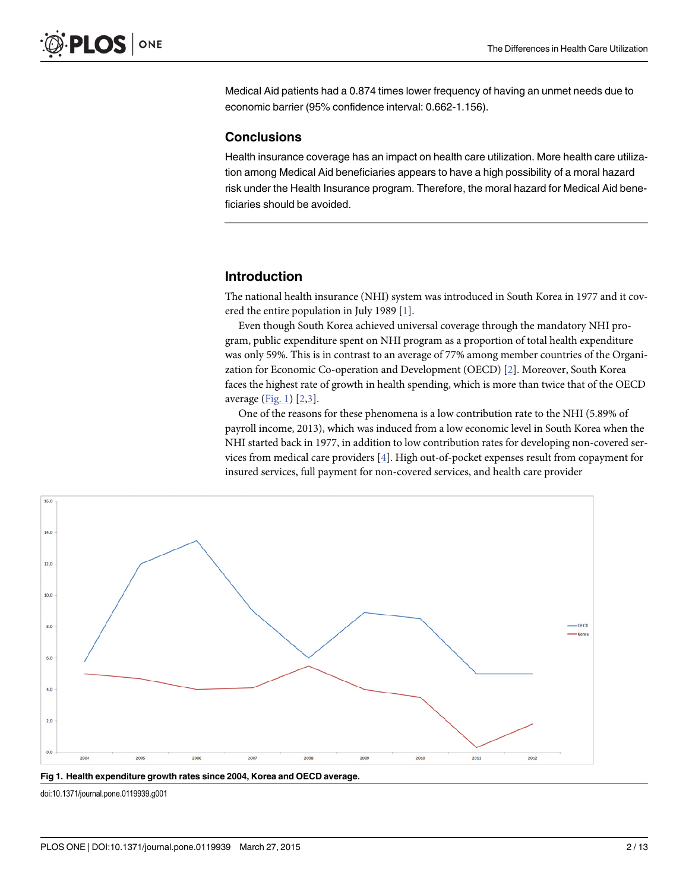<span id="page-1-0"></span>Medical Aid patients had a 0.874 times lower frequency of having an unmet needs due to economic barrier (95% confidence interval: 0.662-1.156).

#### **Conclusions**

Health insurance coverage has an impact on health care utilization. More health care utilization among Medical Aid beneficiaries appears to have a high possibility of a moral hazard risk under the Health Insurance program. Therefore, the moral hazard for Medical Aid beneficiaries should be avoided.

### Introduction

The national health insurance (NHI) system was introduced in South Korea in 1977 and it covered the entire population in July 1989 [[1\]](#page-11-0).

Even though South Korea achieved universal coverage through the mandatory NHI program, public expenditure spent on NHI program as a proportion of total health expenditure was only 59%. This is in contrast to an average of 77% among member countries of the Organization for Economic Co-operation and Development (OECD) [\[2](#page-11-0)]. Moreover, South Korea faces the highest rate of growth in health spending, which is more than twice that of the OECD average  $(Fig. 1)$   $[2,3]$  $[2,3]$ .

One of the reasons for these phenomena is a low contribution rate to the NHI (5.89% of payroll income, 2013), which was induced from a low economic level in South Korea when the NHI started back in 1977, in addition to low contribution rates for developing non-covered services from medical care providers [[4](#page-12-0)]. High out-of-pocket expenses result from copayment for insured services, full payment for non-covered services, and health care provider



Fig 1. Health expenditure growth rates since 2004, Korea and OECD average.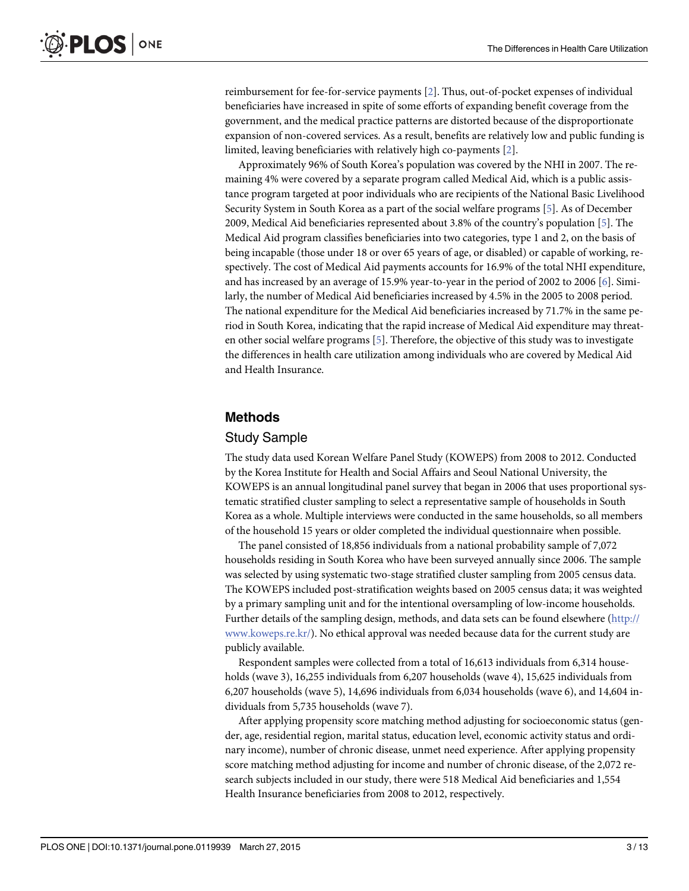<span id="page-2-0"></span>reimbursement for fee-for-service payments [\[2](#page-11-0)]. Thus, out-of-pocket expenses of individual beneficiaries have increased in spite of some efforts of expanding benefit coverage from the government, and the medical practice patterns are distorted because of the disproportionate expansion of non-covered services. As a result, benefits are relatively low and public funding is limited, leaving beneficiaries with relatively high co-payments [\[2\]](#page-11-0).

Approximately 96% of South Korea's population was covered by the NHI in 2007. The remaining 4% were covered by a separate program called Medical Aid, which is a public assistance program targeted at poor individuals who are recipients of the National Basic Livelihood Security System in South Korea as a part of the social welfare programs [[5\]](#page-12-0). As of December 2009, Medical Aid beneficiaries represented about 3.8% of the country's population [[5](#page-12-0)]. The Medical Aid program classifies beneficiaries into two categories, type 1 and 2, on the basis of being incapable (those under 18 or over 65 years of age, or disabled) or capable of working, respectively. The cost of Medical Aid payments accounts for 16.9% of the total NHI expenditure, and has increased by an average of 15.9% year-to-year in the period of 2002 to 2006 [\[6\]](#page-12-0). Similarly, the number of Medical Aid beneficiaries increased by 4.5% in the 2005 to 2008 period. The national expenditure for the Medical Aid beneficiaries increased by 71.7% in the same period in South Korea, indicating that the rapid increase of Medical Aid expenditure may threaten other social welfare programs  $[5]$  $[5]$ . Therefore, the objective of this study was to investigate the differences in health care utilization among individuals who are covered by Medical Aid and Health Insurance.

### Methods

#### Study Sample

The study data used Korean Welfare Panel Study (KOWEPS) from 2008 to 2012. Conducted by the Korea Institute for Health and Social Affairs and Seoul National University, the KOWEPS is an annual longitudinal panel survey that began in 2006 that uses proportional systematic stratified cluster sampling to select a representative sample of households in South Korea as a whole. Multiple interviews were conducted in the same households, so all members of the household 15 years or older completed the individual questionnaire when possible.

The panel consisted of 18,856 individuals from a national probability sample of 7,072 households residing in South Korea who have been surveyed annually since 2006. The sample was selected by using systematic two-stage stratified cluster sampling from 2005 census data. The KOWEPS included post-stratification weights based on 2005 census data; it was weighted by a primary sampling unit and for the intentional oversampling of low-income households. Further details of the sampling design, methods, and data sets can be found elsewhere ([http://](http://www.koweps.re.kr/) [www.koweps.re.kr/](http://www.koweps.re.kr/)). No ethical approval was needed because data for the current study are publicly available.

Respondent samples were collected from a total of 16,613 individuals from 6,314 households (wave 3), 16,255 individuals from 6,207 households (wave 4), 15,625 individuals from 6,207 households (wave 5), 14,696 individuals from 6,034 households (wave 6), and 14,604 individuals from 5,735 households (wave 7).

After applying propensity score matching method adjusting for socioeconomic status (gender, age, residential region, marital status, education level, economic activity status and ordinary income), number of chronic disease, unmet need experience. After applying propensity score matching method adjusting for income and number of chronic disease, of the 2,072 research subjects included in our study, there were 518 Medical Aid beneficiaries and 1,554 Health Insurance beneficiaries from 2008 to 2012, respectively.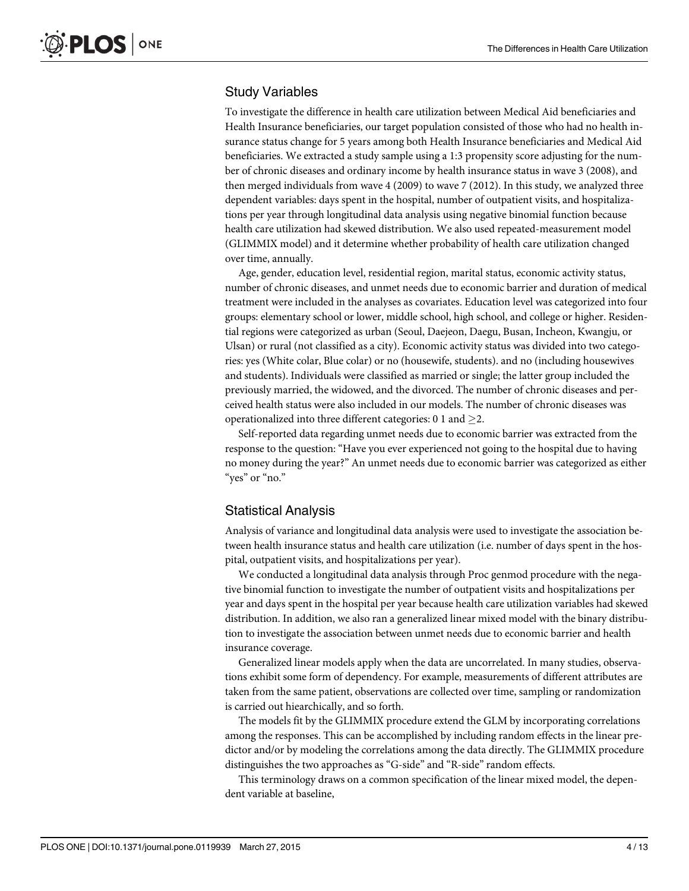### Study Variables

To investigate the difference in health care utilization between Medical Aid beneficiaries and Health Insurance beneficiaries, our target population consisted of those who had no health insurance status change for 5 years among both Health Insurance beneficiaries and Medical Aid beneficiaries. We extracted a study sample using a 1:3 propensity score adjusting for the number of chronic diseases and ordinary income by health insurance status in wave 3 (2008), and then merged individuals from wave 4 (2009) to wave 7 (2012). In this study, we analyzed three dependent variables: days spent in the hospital, number of outpatient visits, and hospitalizations per year through longitudinal data analysis using negative binomial function because health care utilization had skewed distribution. We also used repeated-measurement model (GLIMMIX model) and it determine whether probability of health care utilization changed over time, annually.

Age, gender, education level, residential region, marital status, economic activity status, number of chronic diseases, and unmet needs due to economic barrier and duration of medical treatment were included in the analyses as covariates. Education level was categorized into four groups: elementary school or lower, middle school, high school, and college or higher. Residential regions were categorized as urban (Seoul, Daejeon, Daegu, Busan, Incheon, Kwangju, or Ulsan) or rural (not classified as a city). Economic activity status was divided into two categories: yes (White colar, Blue colar) or no (housewife, students). and no (including housewives and students). Individuals were classified as married or single; the latter group included the previously married, the widowed, and the divorced. The number of chronic diseases and perceived health status were also included in our models. The number of chronic diseases was operationalized into three different categories: 0 1 and  $\geq$ 2.

Self-reported data regarding unmet needs due to economic barrier was extracted from the response to the question: "Have you ever experienced not going to the hospital due to having no money during the year?" An unmet needs due to economic barrier was categorized as either "yes" or "no."

### Statistical Analysis

Analysis of variance and longitudinal data analysis were used to investigate the association between health insurance status and health care utilization (i.e. number of days spent in the hospital, outpatient visits, and hospitalizations per year).

We conducted a longitudinal data analysis through Proc genmod procedure with the negative binomial function to investigate the number of outpatient visits and hospitalizations per year and days spent in the hospital per year because health care utilization variables had skewed distribution. In addition, we also ran a generalized linear mixed model with the binary distribution to investigate the association between unmet needs due to economic barrier and health insurance coverage.

Generalized linear models apply when the data are uncorrelated. In many studies, observations exhibit some form of dependency. For example, measurements of different attributes are taken from the same patient, observations are collected over time, sampling or randomization is carried out hiearchically, and so forth.

The models fit by the GLIMMIX procedure extend the GLM by incorporating correlations among the responses. This can be accomplished by including random effects in the linear predictor and/or by modeling the correlations among the data directly. The GLIMMIX procedure distinguishes the two approaches as "G-side" and "R-side" random effects.

This terminology draws on a common specification of the linear mixed model, the dependent variable at baseline,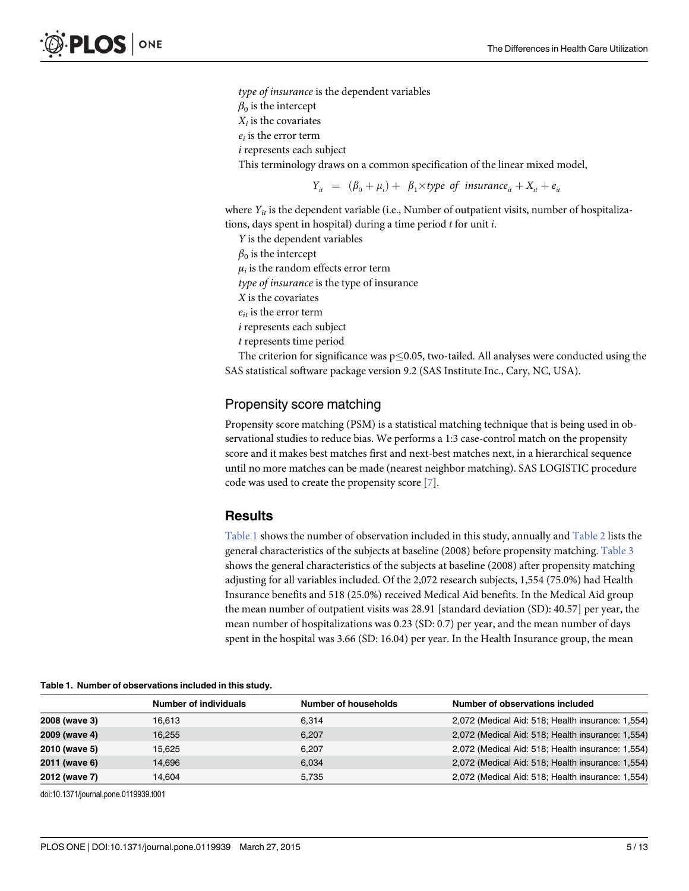<span id="page-4-0"></span>type of insurance is the dependent variables  $\beta_0$  is the intercept  $X_i$  is the covariates  $e_i$  is the error term i represents each subject This terminology draws on a common specification of the linear mixed model,

 $Y_{it} = (\beta_0 + \mu_i) + \beta_1 \times type$  of insurance<sub>it</sub> +  $X_{it} + e_{it}$ 

where  $Y_{it}$  is the dependent variable (i.e., Number of outpatient visits, number of hospitalizations, days spent in hospital) during a time period  $t$  for unit  $i$ .

Y is the dependent variables  $\beta_0$  is the intercept  $\mu_i$  is the random effects error term type of insurance is the type of insurance X is the covariates  $e_{it}$  is the error term i represents each subject t represents time period

The criterion for significance was  $p\leq 0.05$ , two-tailed. All analyses were conducted using the SAS statistical software package version 9.2 (SAS Institute Inc., Cary, NC, USA).

### Propensity score matching

Propensity score matching (PSM) is a statistical matching technique that is being used in observational studies to reduce bias. We performs a 1:3 case-control match on the propensity score and it makes best matches first and next-best matches next, in a hierarchical sequence until no more matches can be made (nearest neighbor matching). SAS LOGISTIC procedure code was used to create the propensity score [[7\]](#page-12-0).

#### **Results**

Table 1 shows the number of observation included in this study, annually and [Table 2](#page-5-0) lists the general characteristics of the subjects at baseline (2008) before propensity matching. [Table 3](#page-6-0) shows the general characteristics of the subjects at baseline (2008) after propensity matching adjusting for all variables included. Of the 2,072 research subjects, 1,554 (75.0%) had Health Insurance benefits and 518 (25.0%) received Medical Aid benefits. In the Medical Aid group the mean number of outpatient visits was 28.91 [standard deviation (SD): 40.57] per year, the mean number of hospitalizations was 0.23 (SD: 0.7) per year, and the mean number of days spent in the hospital was 3.66 (SD: 16.04) per year. In the Health Insurance group, the mean

|               | <b>Number of individuals</b> | <b>Number of households</b> | Number of observations included                   |
|---------------|------------------------------|-----------------------------|---------------------------------------------------|
| 2008 (wave 3) | 16.613                       | 6.314                       | 2,072 (Medical Aid: 518; Health insurance: 1,554) |
| 2009 (wave 4) | 16.255                       | 6.207                       | 2,072 (Medical Aid: 518; Health insurance: 1,554) |
| 2010 (wave 5) | 15.625                       | 6.207                       | 2,072 (Medical Aid: 518; Health insurance: 1,554) |
| 2011 (wave 6) | 14.696                       | 6.034                       | 2,072 (Medical Aid: 518; Health insurance: 1,554) |
| 2012 (wave 7) | 14.604                       | 5.735                       | 2,072 (Medical Aid: 518; Health insurance: 1,554) |

Table 1. Number of observations included in this study.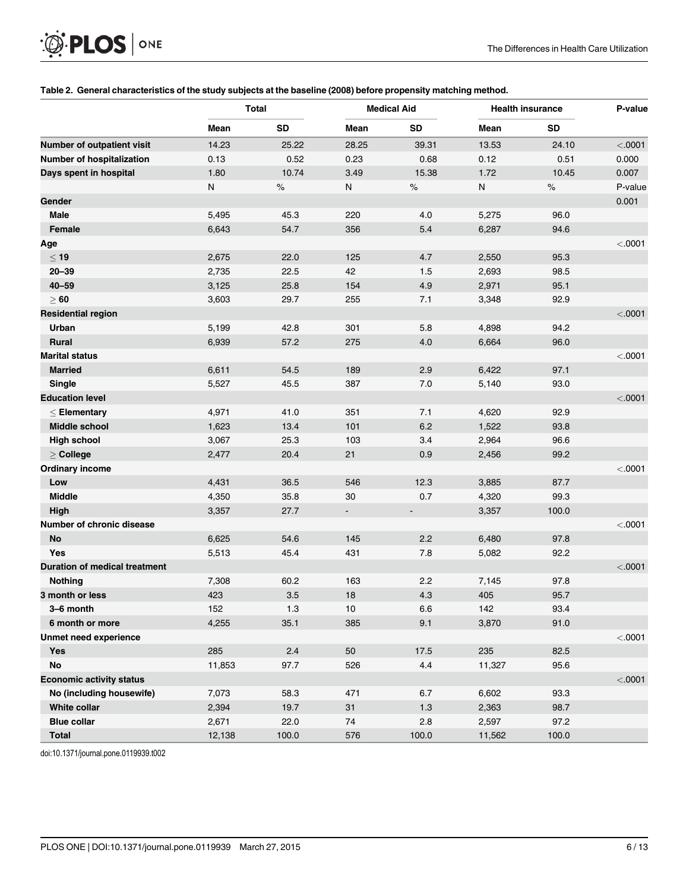<span id="page-5-0"></span>

|  |  | Table 2. General characteristics of the study subjects at the baseline (2008) before propensity matching method. |  |  |  |
|--|--|------------------------------------------------------------------------------------------------------------------|--|--|--|
|--|--|------------------------------------------------------------------------------------------------------------------|--|--|--|

|                                      | <b>Total</b> |           |                          | <b>Medical Aid</b> | <b>Health insurance</b> | P-value |         |
|--------------------------------------|--------------|-----------|--------------------------|--------------------|-------------------------|---------|---------|
|                                      | Mean         | <b>SD</b> | Mean                     | <b>SD</b>          | Mean                    | SD      |         |
| Number of outpatient visit           | 14.23        | 25.22     | 28.25                    | 39.31              | 13.53                   | 24.10   | < .0001 |
| Number of hospitalization            | 0.13         | 0.52      | 0.23                     | 0.68               | 0.12                    | 0.51    | 0.000   |
| Days spent in hospital               | 1.80         | 10.74     | 3.49                     | 15.38              | 1.72                    | 10.45   | 0.007   |
|                                      | N            | $\%$      | N                        | $\%$               | N                       | $\%$    | P-value |
| Gender                               |              |           |                          |                    |                         |         | 0.001   |
| Male                                 | 5,495        | 45.3      | 220                      | 4.0                | 5,275                   | 96.0    |         |
| <b>Female</b>                        | 6,643        | 54.7      | 356                      | 5.4                | 6,287                   | 94.6    |         |
| Age                                  |              |           |                          |                    |                         |         | < .0001 |
| < 19                                 | 2,675        | 22.0      | 125                      | 4.7                | 2,550                   | 95.3    |         |
| $20 - 39$                            | 2,735        | 22.5      | 42                       | 1.5                | 2,693                   | 98.5    |         |
| $40 - 59$                            | 3,125        | 25.8      | 154                      | 4.9                | 2,971                   | 95.1    |         |
| $\geq 60$                            | 3,603        | 29.7      | 255                      | 7.1                | 3,348                   | 92.9    |         |
| <b>Residential region</b>            |              |           |                          |                    |                         |         | < .0001 |
| Urban                                | 5,199        | 42.8      | 301                      | 5.8                | 4,898                   | 94.2    |         |
| <b>Rural</b>                         | 6,939        | 57.2      | 275                      | 4.0                | 6,664                   | 96.0    |         |
| <b>Marital status</b>                |              |           |                          |                    |                         |         | < .0001 |
| <b>Married</b>                       | 6,611        | 54.5      | 189                      | 2.9                | 6,422                   | 97.1    |         |
| Single                               | 5,527        | 45.5      | 387                      | 7.0                | 5,140                   | 93.0    |         |
| <b>Education level</b>               |              |           |                          |                    |                         |         | < .0001 |
| $<$ Elementary                       | 4,971        | 41.0      | 351                      | 7.1                | 4,620                   | 92.9    |         |
| Middle school                        | 1,623        | 13.4      | 101                      | 6.2                | 1,522                   | 93.8    |         |
| <b>High school</b>                   | 3,067        | 25.3      | 103                      | 3.4                | 2,964                   | 96.6    |         |
| $\geq$ College                       | 2,477        | 20.4      | 21                       | 0.9                | 2,456                   | 99.2    |         |
| <b>Ordinary income</b>               |              |           |                          |                    |                         |         | < .0001 |
| Low                                  | 4,431        | 36.5      | 546                      | 12.3               | 3,885                   | 87.7    |         |
| <b>Middle</b>                        | 4,350        | 35.8      | 30                       | 0.7                | 4,320                   | 99.3    |         |
| High                                 | 3,357        | 27.7      | $\overline{\phantom{a}}$ |                    | 3,357                   | 100.0   |         |
| Number of chronic disease            |              |           |                          |                    |                         |         | < .0001 |
| No                                   | 6,625        | 54.6      | 145                      | 2.2                | 6,480                   | 97.8    |         |
| Yes                                  | 5,513        | 45.4      | 431                      | 7.8                | 5,082                   | 92.2    |         |
| <b>Duration of medical treatment</b> |              |           |                          |                    |                         |         | < .0001 |
| <b>Nothing</b>                       | 7,308        | 60.2      | 163                      | 2.2                | 7,145                   | 97.8    |         |
| 3 month or less                      | 423          | 3.5       | 18                       | 4.3                | 405                     | 95.7    |         |
| 3-6 month                            | 152          | 1.3       | 10                       | 6.6                | 142                     | 93.4    |         |
| 6 month or more                      | 4,255        | 35.1      | 385                      | 9.1                | 3,870                   | 91.0    |         |
| Unmet need experience                |              |           |                          |                    |                         |         | < .0001 |
| <b>Yes</b>                           | 285          | 2.4       | 50                       | 17.5               | 235                     | 82.5    |         |
| <b>No</b>                            | 11,853       | 97.7      | 526                      | 4.4                | 11,327                  | 95.6    |         |
| <b>Economic activity status</b>      |              |           |                          |                    |                         |         | < .0001 |
| No (including housewife)             | 7,073        | 58.3      | 471                      | 6.7                | 6,602                   | 93.3    |         |
| White collar                         | 2,394        | 19.7      | 31                       | $1.3$              | 2,363                   | 98.7    |         |
| <b>Blue collar</b>                   | 2,671        | 22.0      | $74\,$                   | 2.8                | 2,597                   | 97.2    |         |
| <b>Total</b>                         | 12,138       | 100.0     | 576                      | 100.0              | 11,562                  | 100.0   |         |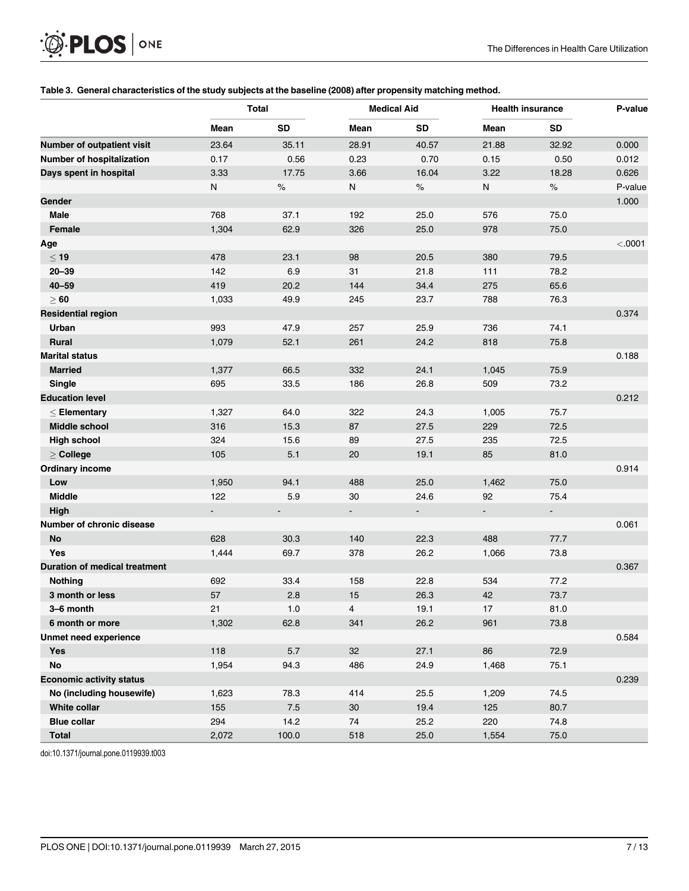<span id="page-6-0"></span>

|  |  | Table 3. General characteristics of the study subjects at the baseline (2008) after propensity matching method. |
|--|--|-----------------------------------------------------------------------------------------------------------------|
|  |  |                                                                                                                 |

|                                      | <b>Total</b> |           |                | <b>Medical Aid</b>       | <b>Health insurance</b> | P-value |         |
|--------------------------------------|--------------|-----------|----------------|--------------------------|-------------------------|---------|---------|
|                                      | Mean         | <b>SD</b> | Mean           | <b>SD</b>                | Mean                    | SD      |         |
| Number of outpatient visit           | 23.64        | 35.11     | 28.91          | 40.57                    | 21.88                   | 32.92   | 0.000   |
| Number of hospitalization            | 0.17         | 0.56      | 0.23           | 0.70                     | 0.15                    | 0.50    | 0.012   |
| Days spent in hospital               | 3.33         | 17.75     | 3.66           | 16.04                    | 3.22                    | 18.28   | 0.626   |
|                                      | N            | $\%$      | ${\sf N}$      | $\%$                     | N                       | $\%$    | P-value |
| Gender                               |              |           |                |                          |                         |         | 1.000   |
| Male                                 | 768          | 37.1      | 192            | 25.0                     | 576                     | 75.0    |         |
| Female                               | 1,304        | 62.9      | 326            | 25.0                     | 978                     | 75.0    |         |
| Age                                  |              |           |                |                          |                         |         | < .0001 |
| < 19                                 | 478          | 23.1      | 98             | 20.5                     | 380                     | 79.5    |         |
| $20 - 39$                            | 142          | 6.9       | 31             | 21.8                     | 111                     | 78.2    |         |
| $40 - 59$                            | 419          | 20.2      | 144            | 34.4                     | 275                     | 65.6    |         |
| $\geq 60$                            | 1,033        | 49.9      | 245            | 23.7                     | 788                     | 76.3    |         |
| <b>Residential region</b>            |              |           |                |                          |                         |         | 0.374   |
| Urban                                | 993          | 47.9      | 257            | 25.9                     | 736                     | 74.1    |         |
| <b>Rural</b>                         | 1,079        | 52.1      | 261            | 24.2                     | 818                     | 75.8    |         |
| <b>Marital status</b>                |              |           |                |                          |                         |         | 0.188   |
| <b>Married</b>                       | 1,377        | 66.5      | 332            | 24.1                     | 1,045                   | 75.9    |         |
| Single                               | 695          | 33.5      | 186            | 26.8                     | 509                     | 73.2    |         |
| <b>Education level</b>               |              |           |                |                          |                         |         | 0.212   |
| $<$ Elementary                       | 1,327        | 64.0      | 322            | 24.3                     | 1,005                   | 75.7    |         |
| <b>Middle school</b>                 | 316          | 15.3      | 87             | 27.5                     | 229                     | 72.5    |         |
| <b>High school</b>                   | 324          | 15.6      | 89             | 27.5                     | 235                     | 72.5    |         |
| $\geq$ College                       | 105          | 5.1       | 20             | 19.1                     | 85                      | 81.0    |         |
| <b>Ordinary income</b>               |              |           |                |                          |                         |         | 0.914   |
| Low                                  | 1,950        | 94.1      | 488            | 25.0                     | 1,462                   | 75.0    |         |
| <b>Middle</b>                        | 122          | 5.9       | 30             | 24.6                     | 92                      | 75.4    |         |
| High                                 |              |           | $\blacksquare$ | $\overline{\phantom{a}}$ |                         |         |         |
| Number of chronic disease            |              |           |                |                          |                         |         | 0.061   |
| No                                   | 628          | 30.3      | 140            | 22.3                     | 488                     | 77.7    |         |
| Yes                                  | 1,444        | 69.7      | 378            | 26.2                     | 1,066                   | 73.8    |         |
| <b>Duration of medical treatment</b> |              |           |                |                          |                         |         | 0.367   |
| Nothing                              | 692          | 33.4      | 158            | 22.8                     | 534                     | 77.2    |         |
| 3 month or less                      | 57           | 2.8       | 15             | 26.3                     | 42                      | 73.7    |         |
| 3-6 month                            | 21           | 1.0       | 4              | 19.1                     | 17                      | 81.0    |         |
| 6 month or more                      | 1,302        | 62.8      | 341            | 26.2                     | 961                     | 73.8    |         |
| <b>Unmet need experience</b>         |              |           |                |                          |                         |         | 0.584   |
| <b>Yes</b>                           | 118          | $5.7\,$   | 32             | 27.1                     | 86                      | 72.9    |         |
| <b>No</b>                            | 1,954        | 94.3      | 486            | 24.9                     | 1,468                   | 75.1    |         |
| <b>Economic activity status</b>      |              |           |                |                          |                         |         | 0.239   |
| No (including housewife)             | 1,623        | 78.3      | 414            | 25.5                     | 1,209                   | 74.5    |         |
| White collar                         | 155          | $7.5\,$   | $30\,$         | 19.4                     | 125                     | 80.7    |         |
| <b>Blue collar</b>                   | 294          | 14.2      | $74\,$         | 25.2                     | 220                     | 74.8    |         |
| Total                                | 2,072        | 100.0     | 518            | 25.0                     | 1,554                   | 75.0    |         |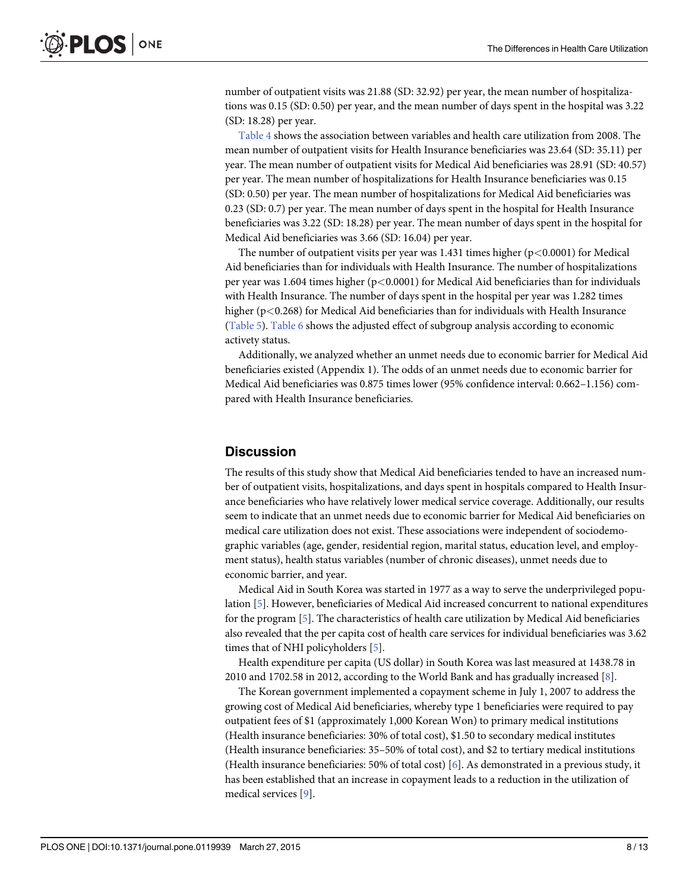<span id="page-7-0"></span>number of outpatient visits was 21.88 (SD: 32.92) per year, the mean number of hospitalizations was 0.15 (SD: 0.50) per year, and the mean number of days spent in the hospital was 3.22 (SD: 18.28) per year.

[Table 4](#page-8-0) shows the association between variables and health care utilization from 2008. The mean number of outpatient visits for Health Insurance beneficiaries was 23.64 (SD: 35.11) per year. The mean number of outpatient visits for Medical Aid beneficiaries was 28.91 (SD: 40.57) per year. The mean number of hospitalizations for Health Insurance beneficiaries was 0.15 (SD: 0.50) per year. The mean number of hospitalizations for Medical Aid beneficiaries was 0.23 (SD: 0.7) per year. The mean number of days spent in the hospital for Health Insurance beneficiaries was 3.22 (SD: 18.28) per year. The mean number of days spent in the hospital for Medical Aid beneficiaries was 3.66 (SD: 16.04) per year.

The number of outpatient visits per year was  $1.431$  times higher (p $< 0.0001$ ) for Medical Aid beneficiaries than for individuals with Health Insurance. The number of hospitalizations per year was 1.604 times higher ( $p<0.0001$ ) for Medical Aid beneficiaries than for individuals with Health Insurance. The number of days spent in the hospital per year was 1.282 times higher (p<0.268) for Medical Aid beneficiaries than for individuals with Health Insurance [\(Table 5\)](#page-10-0). [Table 6](#page-11-0) shows the adjusted effect of subgroup analysis according to economic activety status.

Additionally, we analyzed whether an unmet needs due to economic barrier for Medical Aid beneficiaries existed (Appendix 1). The odds of an unmet needs due to economic barrier for Medical Aid beneficiaries was 0.875 times lower (95% confidence interval: 0.662–1.156) compared with Health Insurance beneficiaries.

### **Discussion**

The results of this study show that Medical Aid beneficiaries tended to have an increased number of outpatient visits, hospitalizations, and days spent in hospitals compared to Health Insurance beneficiaries who have relatively lower medical service coverage. Additionally, our results seem to indicate that an unmet needs due to economic barrier for Medical Aid beneficiaries on medical care utilization does not exist. These associations were independent of sociodemographic variables (age, gender, residential region, marital status, education level, and employment status), health status variables (number of chronic diseases), unmet needs due to economic barrier, and year.

Medical Aid in South Korea was started in 1977 as a way to serve the underprivileged population [[5](#page-12-0)]. However, beneficiaries of Medical Aid increased concurrent to national expenditures for the program  $[5]$  $[5]$ . The characteristics of health care utilization by Medical Aid beneficiaries also revealed that the per capita cost of health care services for individual beneficiaries was 3.62 times that of NHI policyholders [[5](#page-12-0)].

Health expenditure per capita (US dollar) in South Korea was last measured at 1438.78 in 2010 and 1702.58 in 2012, according to the World Bank and has gradually increased [[8\]](#page-12-0).

The Korean government implemented a copayment scheme in July 1, 2007 to address the growing cost of Medical Aid beneficiaries, whereby type 1 beneficiaries were required to pay outpatient fees of \$1 (approximately 1,000 Korean Won) to primary medical institutions (Health insurance beneficiaries: 30% of total cost), \$1.50 to secondary medical institutes (Health insurance beneficiaries: 35–50% of total cost), and \$2 to tertiary medical institutions (Health insurance beneficiaries: 50% of total cost) [[6\]](#page-12-0). As demonstrated in a previous study, it has been established that an increase in copayment leads to a reduction in the utilization of medical services [[9](#page-12-0)].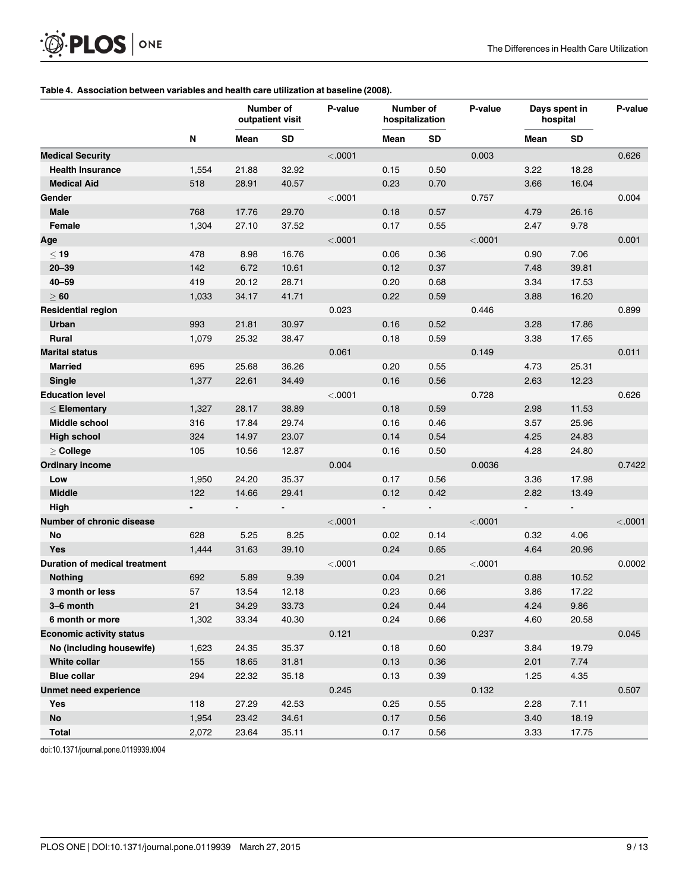#### [Table 4.](#page-7-0) Association between variables and health care utilization at baseline (2008).

<span id="page-8-0"></span> $\circledR$  PLOS | ONE

|                                      |                          | Number of<br>outpatient visit |                          | P-value | Number of<br>hospitalization |                | P-value | Days spent in<br>hospital    | P-value        |         |
|--------------------------------------|--------------------------|-------------------------------|--------------------------|---------|------------------------------|----------------|---------|------------------------------|----------------|---------|
|                                      | N                        | Mean                          | <b>SD</b>                |         | Mean                         | <b>SD</b>      |         | Mean                         | <b>SD</b>      |         |
| <b>Medical Security</b>              |                          |                               |                          | < .0001 |                              |                | 0.003   |                              |                | 0.626   |
| <b>Health Insurance</b>              | 1,554                    | 21.88                         | 32.92                    |         | 0.15                         | 0.50           |         | 3.22                         | 18.28          |         |
| <b>Medical Aid</b>                   | 518                      | 28.91                         | 40.57                    |         | 0.23                         | 0.70           |         | 3.66                         | 16.04          |         |
| Gender                               |                          |                               |                          | < .0001 |                              |                | 0.757   |                              |                | 0.004   |
| <b>Male</b>                          | 768                      | 17.76                         | 29.70                    |         | 0.18                         | 0.57           |         | 4.79                         | 26.16          |         |
| <b>Female</b>                        | 1,304                    | 27.10                         | 37.52                    |         | 0.17                         | 0.55           |         | 2.47                         | 9.78           |         |
| Age                                  |                          |                               |                          | < .0001 |                              |                | < .0001 |                              |                | 0.001   |
| $\leq 19$                            | 478                      | 8.98                          | 16.76                    |         | 0.06                         | 0.36           |         | 0.90                         | 7.06           |         |
| $20 - 39$                            | 142                      | 6.72                          | 10.61                    |         | 0.12                         | 0.37           |         | 7.48                         | 39.81          |         |
| $40 - 59$                            | 419                      | 20.12                         | 28.71                    |         | 0.20                         | 0.68           |         | 3.34                         | 17.53          |         |
| $\geq 60$                            | 1,033                    | 34.17                         | 41.71                    |         | 0.22                         | 0.59           |         | 3.88                         | 16.20          |         |
| <b>Residential region</b>            |                          |                               |                          | 0.023   |                              |                | 0.446   |                              |                | 0.899   |
| Urban                                | 993                      | 21.81                         | 30.97                    |         | 0.16                         | 0.52           |         | 3.28                         | 17.86          |         |
| Rural                                | 1,079                    | 25.32                         | 38.47                    |         | 0.18                         | 0.59           |         | 3.38                         | 17.65          |         |
| <b>Marital status</b>                |                          |                               |                          | 0.061   |                              |                | 0.149   |                              |                | 0.011   |
| <b>Married</b>                       | 695                      | 25.68                         | 36.26                    |         | 0.20                         | 0.55           |         | 4.73                         | 25.31          |         |
| <b>Single</b>                        | 1,377                    | 22.61                         | 34.49                    |         | 0.16                         | 0.56           |         | 2.63                         | 12.23          |         |
| <b>Education level</b>               |                          |                               |                          | < .0001 |                              |                | 0.728   |                              |                | 0.626   |
| $<$ Elementary                       | 1,327                    | 28.17                         | 38.89                    |         | 0.18                         | 0.59           |         | 2.98                         | 11.53          |         |
| Middle school                        | 316                      | 17.84                         | 29.74                    |         | 0.16                         | 0.46           |         | 3.57                         | 25.96          |         |
| <b>High school</b>                   | 324                      | 14.97                         | 23.07                    |         | 0.14                         | 0.54           |         | 4.25                         | 24.83          |         |
| $\geq$ College                       | 105                      | 10.56                         | 12.87                    |         | 0.16                         | 0.50           |         | 4.28                         | 24.80          |         |
| <b>Ordinary income</b>               |                          |                               |                          | 0.004   |                              |                | 0.0036  |                              |                | 0.7422  |
| Low                                  | 1,950                    | 24.20                         | 35.37                    |         | 0.17                         | 0.56           |         | 3.36                         | 17.98          |         |
| <b>Middle</b>                        | 122                      | 14.66                         | 29.41                    |         | 0.12                         | 0.42           |         | 2.82                         | 13.49          |         |
| High                                 | $\overline{\phantom{0}}$ | $\overline{\phantom{a}}$      | $\overline{\phantom{a}}$ |         | $\overline{\phantom{a}}$     | $\blacksquare$ |         | $\qquad \qquad \blacksquare$ | $\blacksquare$ |         |
| Number of chronic disease            |                          |                               |                          | < .0001 |                              |                | < .0001 |                              |                | < .0001 |
| No                                   | 628                      | 5.25                          | 8.25                     |         | 0.02                         | 0.14           |         | 0.32                         | 4.06           |         |
| <b>Yes</b>                           | 1,444                    | 31.63                         | 39.10                    |         | 0.24                         | 0.65           |         | 4.64                         | 20.96          |         |
| <b>Duration of medical treatment</b> |                          |                               |                          | < .0001 |                              |                | < .0001 |                              |                | 0.0002  |
| <b>Nothing</b>                       | 692                      | 5.89                          | 9.39                     |         | 0.04                         | 0.21           |         | 0.88                         | 10.52          |         |
| 3 month or less                      | 57                       | 13.54                         | 12.18                    |         | 0.23                         | 0.66           |         | 3.86                         | 17.22          |         |
| 3-6 month                            | 21                       | 34.29                         | 33.73                    |         | 0.24                         | 0.44           |         | 4.24                         | 9.86           |         |
| 6 month or more                      | 1,302                    | 33.34                         | 40.30                    |         | 0.24                         | 0.66           |         | 4.60                         | 20.58          |         |
| <b>Economic activity status</b>      |                          |                               |                          | 0.121   |                              |                | 0.237   |                              |                | 0.045   |
| No (including housewife)             | 1,623                    | 24.35                         | 35.37                    |         | 0.18                         | 0.60           |         | 3.84                         | 19.79          |         |
| White collar                         | 155                      | 18.65                         | 31.81                    |         | 0.13                         | 0.36           |         | 2.01                         | 7.74           |         |
| <b>Blue collar</b>                   | 294                      | 22.32                         | 35.18                    |         | 0.13                         | 0.39           |         | 1.25                         | 4.35           |         |
| Unmet need experience                |                          |                               |                          | 0.245   |                              |                | 0.132   |                              |                | 0.507   |
| Yes                                  | 118                      | 27.29                         | 42.53                    |         | 0.25                         | 0.55           |         | 2.28                         | 7.11           |         |
| <b>No</b>                            | 1,954                    | 23.42                         | 34.61                    |         | 0.17                         | 0.56           |         | 3.40                         | 18.19          |         |
| <b>Total</b>                         | 2,072                    | 23.64                         | 35.11                    |         | 0.17                         | 0.56           |         | 3.33                         | 17.75          |         |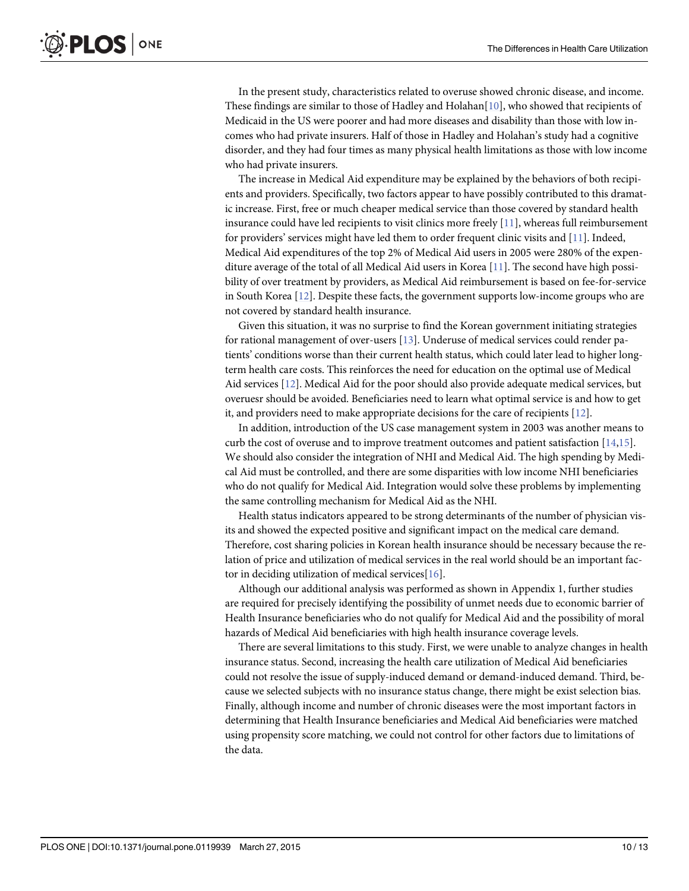<span id="page-9-0"></span>In the present study, characteristics related to overuse showed chronic disease, and income. These findings are similar to those of Hadley and Holahan $[10]$  $[10]$ , who showed that recipients of Medicaid in the US were poorer and had more diseases and disability than those with low incomes who had private insurers. Half of those in Hadley and Holahan's study had a cognitive disorder, and they had four times as many physical health limitations as those with low income who had private insurers.

The increase in Medical Aid expenditure may be explained by the behaviors of both recipients and providers. Specifically, two factors appear to have possibly contributed to this dramatic increase. First, free or much cheaper medical service than those covered by standard health insurance could have led recipients to visit clinics more freely  $[11]$  $[11]$  $[11]$ , whereas full reimbursement for providers' services might have led them to order frequent clinic visits and [[11](#page-12-0)]. Indeed, Medical Aid expenditures of the top 2% of Medical Aid users in 2005 were 280% of the expenditure average of the total of all Medical Aid users in Korea [\[11\]](#page-12-0). The second have high possibility of over treatment by providers, as Medical Aid reimbursement is based on fee-for-service in South Korea [\[12\]](#page-12-0). Despite these facts, the government supports low-income groups who are not covered by standard health insurance.

Given this situation, it was no surprise to find the Korean government initiating strategies for rational management of over-users  $[13]$  $[13]$ . Underuse of medical services could render patients' conditions worse than their current health status, which could later lead to higher longterm health care costs. This reinforces the need for education on the optimal use of Medical Aid services [\[12\]](#page-12-0). Medical Aid for the poor should also provide adequate medical services, but overuesr should be avoided. Beneficiaries need to learn what optimal service is and how to get it, and providers need to make appropriate decisions for the care of recipients [\[12\]](#page-12-0).

In addition, introduction of the US case management system in 2003 was another means to curb the cost of overuse and to improve treatment outcomes and patient satisfaction [\[14,15\]](#page-12-0). We should also consider the integration of NHI and Medical Aid. The high spending by Medical Aid must be controlled, and there are some disparities with low income NHI beneficiaries who do not qualify for Medical Aid. Integration would solve these problems by implementing the same controlling mechanism for Medical Aid as the NHI.

Health status indicators appeared to be strong determinants of the number of physician visits and showed the expected positive and significant impact on the medical care demand. Therefore, cost sharing policies in Korean health insurance should be necessary because the relation of price and utilization of medical services in the real world should be an important factor in deciding utilization of medical services $[16]$  $[16]$  $[16]$ .

Although our additional analysis was performed as shown in Appendix 1, further studies are required for precisely identifying the possibility of unmet needs due to economic barrier of Health Insurance beneficiaries who do not qualify for Medical Aid and the possibility of moral hazards of Medical Aid beneficiaries with high health insurance coverage levels.

There are several limitations to this study. First, we were unable to analyze changes in health insurance status. Second, increasing the health care utilization of Medical Aid beneficiaries could not resolve the issue of supply-induced demand or demand-induced demand. Third, because we selected subjects with no insurance status change, there might be exist selection bias. Finally, although income and number of chronic diseases were the most important factors in determining that Health Insurance beneficiaries and Medical Aid beneficiaries were matched using propensity score matching, we could not control for other factors due to limitations of the data.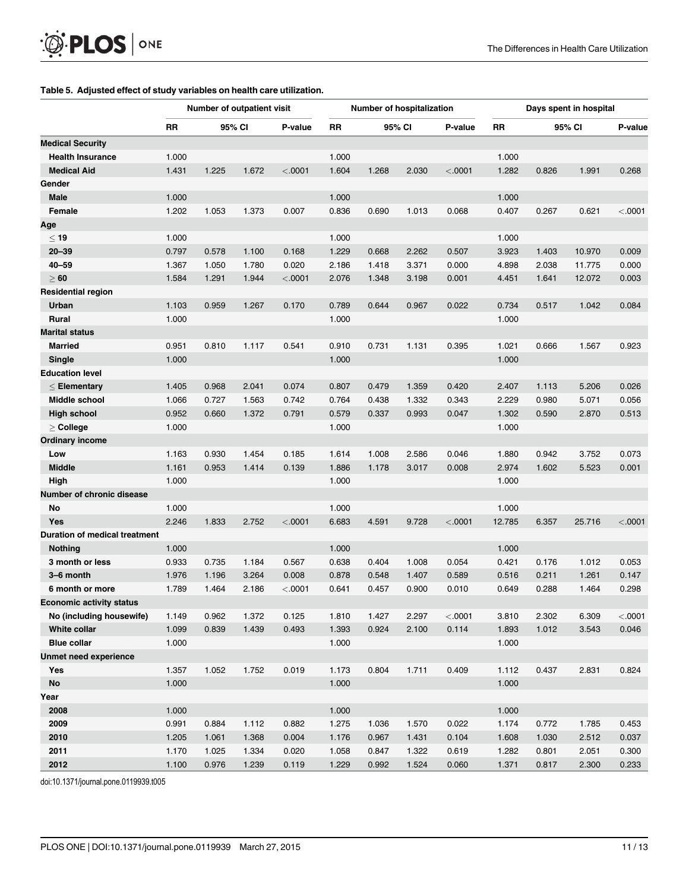#### [Table 5.](#page-7-0) Adjusted effect of study variables on health care utilization.

<span id="page-10-0"></span> $\circledR$  PLOS  $\circledcirc$ 

| <b>RR</b><br><b>RR</b><br>95% CI<br>P-value<br>95% CI<br>P-value<br>RR<br>95% CI<br>P-value<br><b>Medical Security</b><br>1.000<br>1.000<br>1.000<br><b>Health Insurance</b><br><b>Medical Aid</b><br>1.431<br>1.225<br>1.672<br>< .0001<br>1.604<br>1.268<br>2.030<br>< .0001<br>1.282<br>0.826<br>1.991<br>0.268<br>Gender<br>1.000<br>Male<br>1.000<br>1.000<br>1.053<br>Female<br>1.202<br>1.373<br>0.007<br>0.836<br>0.690<br>1.013<br>0.068<br>0.407<br>0.267<br>0.621<br>< .0001<br>Age<br>$\leq 19$<br>1.000<br>1.000<br>1.000<br>2.262<br>0.507<br>$20 - 39$<br>0.797<br>0.578<br>1.100<br>0.168<br>1.229<br>0.668<br>3.923<br>1.403<br>10.970<br>0.009<br>$40 - 59$<br>1.367<br>1.050<br>1.780<br>0.020<br>2.186<br>1.418<br>3.371<br>0.000<br>4.898<br>2.038<br>0.000<br>11.775<br>$\geq 60$<br>1.584<br>1.291<br>1.944<br>< .0001<br>2.076<br>1.348<br>3.198<br>0.001<br>4.451<br>1.641<br>12.072<br>0.003<br><b>Residential region</b><br>0.022<br>Urban<br>1.103<br>0.959<br>1.267<br>0.170<br>0.789<br>0.644<br>0.967<br>0.734<br>0.517<br>1.042<br>0.084<br><b>Rural</b><br>1.000<br>1.000<br>1.000<br><b>Marital status</b><br><b>Married</b><br>0.951<br>0.810<br>1.117<br>0.541<br>0.910<br>0.731<br>1.131<br>0.395<br>1.021<br>0.666<br>1.567<br>0.923<br>Single<br>1.000<br>1.000<br>1.000<br><b>Education level</b><br>0.968<br>0.074<br>0.420<br>1.405<br>2.041<br>0.807<br>0.479<br>1.359<br>2.407<br>1.113<br>5.206<br>0.026<br>$\leq$ Elementary<br>Middle school<br>1.066<br>0.727<br>1.563<br>0.742<br>0.764<br>0.438<br>1.332<br>0.343<br>2.229<br>0.980<br>5.071<br>0.056<br>0.952<br>0.660<br>1.372<br>0.791<br>0.579<br>0.337<br>0.993<br>0.047<br>1.302<br>0.590<br>2.870<br>0.513<br>High school<br>1.000<br>$\geq$ College<br>1.000<br>1.000<br><b>Ordinary income</b><br>1.163<br>0.930<br>1.454<br>0.185<br>1.614<br>1.008<br>2.586<br>0.046<br>1.880<br>0.942<br>3.752<br>0.073<br>Low<br><b>Middle</b><br>1.161<br>0.953<br>1.414<br>0.139<br>1.886<br>1.178<br>3.017<br>0.008<br>2.974<br>1.602<br>5.523<br>0.001<br>High<br>1.000<br>1.000<br>1.000<br>Number of chronic disease<br>1.000<br>No<br>1.000<br>1.000<br>Yes<br>2.246<br>1.833<br>2.752<br>< .0001<br>6.683<br>4.591<br>9.728<br>< .0001<br>12.785<br>6.357<br>25.716<br>< .0001<br>Duration of medical treatment<br>1.000<br>1.000<br>1.000<br><b>Nothing</b><br>3 month or less<br>0.933<br>0.735<br>1.184<br>0.567<br>0.638<br>0.404<br>1.008<br>0.054<br>0.421<br>0.176<br>1.012<br>0.053<br>3-6 month<br>1.976<br>1.196<br>3.264<br>0.008<br>0.878<br>0.548<br>1.407<br>0.589<br>0.516<br>0.211<br>1.261<br>0.147<br>1.789<br>1.464<br>2.186<br>< .0001<br>0.641<br>0.900<br>0.010<br>0.649<br>0.288<br>1.464<br>0.298<br>6 month or more<br>0.457<br><b>Economic activity status</b><br>No (including housewife)<br>0.962<br>1.372<br>0.125<br>1.810<br>2.297<br>< .0001<br>3.810<br>2.302<br>6.309<br>< .0001<br>1.149<br>1.427<br>0.493<br>0.114<br>White collar<br>1.099<br>0.839<br>1.439<br>1.393<br>0.924<br>2.100<br>1.893<br>1.012<br>3.543<br>0.046<br><b>Blue collar</b><br>1.000<br>1.000<br>1.000<br><b>Unmet need experience</b><br>1.752<br>0.409<br>0.824<br>Yes<br>1.357<br>1.052<br>0.019<br>1.173<br>0.804<br>1.711<br>1.112<br>0.437<br>2.831<br>No<br>1.000<br>1.000<br>1.000<br>Year<br>2008<br>1.000<br>1.000<br>1.000<br>2009<br>0.022<br>0.991<br>0.884<br>1.112<br>0.882<br>1.275<br>1.036<br>1.570<br>1.174<br>0.772<br>1.785<br>0.453<br>2010<br>1.205<br>1.368<br>0.004<br>1.176<br>0.967<br>0.104<br>1.608<br>2.512<br>0.037<br>1.061<br>1.431<br>1.030<br>2011<br>1.170<br>1.025<br>1.334<br>0.020<br>1.058<br>0.847<br>1.322<br>0.619<br>1.282<br>0.801<br>2.051<br>0.300<br>2012<br>1.100<br>0.976<br>1.239<br>0.119<br>1.229<br>0.992<br>1.524<br>0.060<br>1.371<br>0.817<br>2.300<br>0.233 |  | Number of outpatient visit |  | <b>Number of hospitalization</b> |  |  |  | Days spent in hospital |  |  |  |
|-----------------------------------------------------------------------------------------------------------------------------------------------------------------------------------------------------------------------------------------------------------------------------------------------------------------------------------------------------------------------------------------------------------------------------------------------------------------------------------------------------------------------------------------------------------------------------------------------------------------------------------------------------------------------------------------------------------------------------------------------------------------------------------------------------------------------------------------------------------------------------------------------------------------------------------------------------------------------------------------------------------------------------------------------------------------------------------------------------------------------------------------------------------------------------------------------------------------------------------------------------------------------------------------------------------------------------------------------------------------------------------------------------------------------------------------------------------------------------------------------------------------------------------------------------------------------------------------------------------------------------------------------------------------------------------------------------------------------------------------------------------------------------------------------------------------------------------------------------------------------------------------------------------------------------------------------------------------------------------------------------------------------------------------------------------------------------------------------------------------------------------------------------------------------------------------------------------------------------------------------------------------------------------------------------------------------------------------------------------------------------------------------------------------------------------------------------------------------------------------------------------------------------------------------------------------------------------------------------------------------------------------------------------------------------------------------------------------------------------------------------------------------------------------------------------------------------------------------------------------------------------------------------------------------------------------------------------------------------------------------------------------------------------------------------------------------------------------------------------------------------------------------------------------------------------------------------------------------------------------------------------------------------------------------------------------------------------------------------------------------------------------------------------------------------------------------------------------------------------------------------------------------------------------------------------------------------------------------------------------------------------------------------------------------------------------------------------------------------------------------------------------------------------------------------------------------------------------|--|----------------------------|--|----------------------------------|--|--|--|------------------------|--|--|--|
|                                                                                                                                                                                                                                                                                                                                                                                                                                                                                                                                                                                                                                                                                                                                                                                                                                                                                                                                                                                                                                                                                                                                                                                                                                                                                                                                                                                                                                                                                                                                                                                                                                                                                                                                                                                                                                                                                                                                                                                                                                                                                                                                                                                                                                                                                                                                                                                                                                                                                                                                                                                                                                                                                                                                                                                                                                                                                                                                                                                                                                                                                                                                                                                                                                                                                                                                                                                                                                                                                                                                                                                                                                                                                                                                                                                                                                         |  |                            |  |                                  |  |  |  |                        |  |  |  |
|                                                                                                                                                                                                                                                                                                                                                                                                                                                                                                                                                                                                                                                                                                                                                                                                                                                                                                                                                                                                                                                                                                                                                                                                                                                                                                                                                                                                                                                                                                                                                                                                                                                                                                                                                                                                                                                                                                                                                                                                                                                                                                                                                                                                                                                                                                                                                                                                                                                                                                                                                                                                                                                                                                                                                                                                                                                                                                                                                                                                                                                                                                                                                                                                                                                                                                                                                                                                                                                                                                                                                                                                                                                                                                                                                                                                                                         |  |                            |  |                                  |  |  |  |                        |  |  |  |
|                                                                                                                                                                                                                                                                                                                                                                                                                                                                                                                                                                                                                                                                                                                                                                                                                                                                                                                                                                                                                                                                                                                                                                                                                                                                                                                                                                                                                                                                                                                                                                                                                                                                                                                                                                                                                                                                                                                                                                                                                                                                                                                                                                                                                                                                                                                                                                                                                                                                                                                                                                                                                                                                                                                                                                                                                                                                                                                                                                                                                                                                                                                                                                                                                                                                                                                                                                                                                                                                                                                                                                                                                                                                                                                                                                                                                                         |  |                            |  |                                  |  |  |  |                        |  |  |  |
|                                                                                                                                                                                                                                                                                                                                                                                                                                                                                                                                                                                                                                                                                                                                                                                                                                                                                                                                                                                                                                                                                                                                                                                                                                                                                                                                                                                                                                                                                                                                                                                                                                                                                                                                                                                                                                                                                                                                                                                                                                                                                                                                                                                                                                                                                                                                                                                                                                                                                                                                                                                                                                                                                                                                                                                                                                                                                                                                                                                                                                                                                                                                                                                                                                                                                                                                                                                                                                                                                                                                                                                                                                                                                                                                                                                                                                         |  |                            |  |                                  |  |  |  |                        |  |  |  |
|                                                                                                                                                                                                                                                                                                                                                                                                                                                                                                                                                                                                                                                                                                                                                                                                                                                                                                                                                                                                                                                                                                                                                                                                                                                                                                                                                                                                                                                                                                                                                                                                                                                                                                                                                                                                                                                                                                                                                                                                                                                                                                                                                                                                                                                                                                                                                                                                                                                                                                                                                                                                                                                                                                                                                                                                                                                                                                                                                                                                                                                                                                                                                                                                                                                                                                                                                                                                                                                                                                                                                                                                                                                                                                                                                                                                                                         |  |                            |  |                                  |  |  |  |                        |  |  |  |
|                                                                                                                                                                                                                                                                                                                                                                                                                                                                                                                                                                                                                                                                                                                                                                                                                                                                                                                                                                                                                                                                                                                                                                                                                                                                                                                                                                                                                                                                                                                                                                                                                                                                                                                                                                                                                                                                                                                                                                                                                                                                                                                                                                                                                                                                                                                                                                                                                                                                                                                                                                                                                                                                                                                                                                                                                                                                                                                                                                                                                                                                                                                                                                                                                                                                                                                                                                                                                                                                                                                                                                                                                                                                                                                                                                                                                                         |  |                            |  |                                  |  |  |  |                        |  |  |  |
|                                                                                                                                                                                                                                                                                                                                                                                                                                                                                                                                                                                                                                                                                                                                                                                                                                                                                                                                                                                                                                                                                                                                                                                                                                                                                                                                                                                                                                                                                                                                                                                                                                                                                                                                                                                                                                                                                                                                                                                                                                                                                                                                                                                                                                                                                                                                                                                                                                                                                                                                                                                                                                                                                                                                                                                                                                                                                                                                                                                                                                                                                                                                                                                                                                                                                                                                                                                                                                                                                                                                                                                                                                                                                                                                                                                                                                         |  |                            |  |                                  |  |  |  |                        |  |  |  |
|                                                                                                                                                                                                                                                                                                                                                                                                                                                                                                                                                                                                                                                                                                                                                                                                                                                                                                                                                                                                                                                                                                                                                                                                                                                                                                                                                                                                                                                                                                                                                                                                                                                                                                                                                                                                                                                                                                                                                                                                                                                                                                                                                                                                                                                                                                                                                                                                                                                                                                                                                                                                                                                                                                                                                                                                                                                                                                                                                                                                                                                                                                                                                                                                                                                                                                                                                                                                                                                                                                                                                                                                                                                                                                                                                                                                                                         |  |                            |  |                                  |  |  |  |                        |  |  |  |
|                                                                                                                                                                                                                                                                                                                                                                                                                                                                                                                                                                                                                                                                                                                                                                                                                                                                                                                                                                                                                                                                                                                                                                                                                                                                                                                                                                                                                                                                                                                                                                                                                                                                                                                                                                                                                                                                                                                                                                                                                                                                                                                                                                                                                                                                                                                                                                                                                                                                                                                                                                                                                                                                                                                                                                                                                                                                                                                                                                                                                                                                                                                                                                                                                                                                                                                                                                                                                                                                                                                                                                                                                                                                                                                                                                                                                                         |  |                            |  |                                  |  |  |  |                        |  |  |  |
|                                                                                                                                                                                                                                                                                                                                                                                                                                                                                                                                                                                                                                                                                                                                                                                                                                                                                                                                                                                                                                                                                                                                                                                                                                                                                                                                                                                                                                                                                                                                                                                                                                                                                                                                                                                                                                                                                                                                                                                                                                                                                                                                                                                                                                                                                                                                                                                                                                                                                                                                                                                                                                                                                                                                                                                                                                                                                                                                                                                                                                                                                                                                                                                                                                                                                                                                                                                                                                                                                                                                                                                                                                                                                                                                                                                                                                         |  |                            |  |                                  |  |  |  |                        |  |  |  |
|                                                                                                                                                                                                                                                                                                                                                                                                                                                                                                                                                                                                                                                                                                                                                                                                                                                                                                                                                                                                                                                                                                                                                                                                                                                                                                                                                                                                                                                                                                                                                                                                                                                                                                                                                                                                                                                                                                                                                                                                                                                                                                                                                                                                                                                                                                                                                                                                                                                                                                                                                                                                                                                                                                                                                                                                                                                                                                                                                                                                                                                                                                                                                                                                                                                                                                                                                                                                                                                                                                                                                                                                                                                                                                                                                                                                                                         |  |                            |  |                                  |  |  |  |                        |  |  |  |
|                                                                                                                                                                                                                                                                                                                                                                                                                                                                                                                                                                                                                                                                                                                                                                                                                                                                                                                                                                                                                                                                                                                                                                                                                                                                                                                                                                                                                                                                                                                                                                                                                                                                                                                                                                                                                                                                                                                                                                                                                                                                                                                                                                                                                                                                                                                                                                                                                                                                                                                                                                                                                                                                                                                                                                                                                                                                                                                                                                                                                                                                                                                                                                                                                                                                                                                                                                                                                                                                                                                                                                                                                                                                                                                                                                                                                                         |  |                            |  |                                  |  |  |  |                        |  |  |  |
|                                                                                                                                                                                                                                                                                                                                                                                                                                                                                                                                                                                                                                                                                                                                                                                                                                                                                                                                                                                                                                                                                                                                                                                                                                                                                                                                                                                                                                                                                                                                                                                                                                                                                                                                                                                                                                                                                                                                                                                                                                                                                                                                                                                                                                                                                                                                                                                                                                                                                                                                                                                                                                                                                                                                                                                                                                                                                                                                                                                                                                                                                                                                                                                                                                                                                                                                                                                                                                                                                                                                                                                                                                                                                                                                                                                                                                         |  |                            |  |                                  |  |  |  |                        |  |  |  |
|                                                                                                                                                                                                                                                                                                                                                                                                                                                                                                                                                                                                                                                                                                                                                                                                                                                                                                                                                                                                                                                                                                                                                                                                                                                                                                                                                                                                                                                                                                                                                                                                                                                                                                                                                                                                                                                                                                                                                                                                                                                                                                                                                                                                                                                                                                                                                                                                                                                                                                                                                                                                                                                                                                                                                                                                                                                                                                                                                                                                                                                                                                                                                                                                                                                                                                                                                                                                                                                                                                                                                                                                                                                                                                                                                                                                                                         |  |                            |  |                                  |  |  |  |                        |  |  |  |
|                                                                                                                                                                                                                                                                                                                                                                                                                                                                                                                                                                                                                                                                                                                                                                                                                                                                                                                                                                                                                                                                                                                                                                                                                                                                                                                                                                                                                                                                                                                                                                                                                                                                                                                                                                                                                                                                                                                                                                                                                                                                                                                                                                                                                                                                                                                                                                                                                                                                                                                                                                                                                                                                                                                                                                                                                                                                                                                                                                                                                                                                                                                                                                                                                                                                                                                                                                                                                                                                                                                                                                                                                                                                                                                                                                                                                                         |  |                            |  |                                  |  |  |  |                        |  |  |  |
|                                                                                                                                                                                                                                                                                                                                                                                                                                                                                                                                                                                                                                                                                                                                                                                                                                                                                                                                                                                                                                                                                                                                                                                                                                                                                                                                                                                                                                                                                                                                                                                                                                                                                                                                                                                                                                                                                                                                                                                                                                                                                                                                                                                                                                                                                                                                                                                                                                                                                                                                                                                                                                                                                                                                                                                                                                                                                                                                                                                                                                                                                                                                                                                                                                                                                                                                                                                                                                                                                                                                                                                                                                                                                                                                                                                                                                         |  |                            |  |                                  |  |  |  |                        |  |  |  |
|                                                                                                                                                                                                                                                                                                                                                                                                                                                                                                                                                                                                                                                                                                                                                                                                                                                                                                                                                                                                                                                                                                                                                                                                                                                                                                                                                                                                                                                                                                                                                                                                                                                                                                                                                                                                                                                                                                                                                                                                                                                                                                                                                                                                                                                                                                                                                                                                                                                                                                                                                                                                                                                                                                                                                                                                                                                                                                                                                                                                                                                                                                                                                                                                                                                                                                                                                                                                                                                                                                                                                                                                                                                                                                                                                                                                                                         |  |                            |  |                                  |  |  |  |                        |  |  |  |
|                                                                                                                                                                                                                                                                                                                                                                                                                                                                                                                                                                                                                                                                                                                                                                                                                                                                                                                                                                                                                                                                                                                                                                                                                                                                                                                                                                                                                                                                                                                                                                                                                                                                                                                                                                                                                                                                                                                                                                                                                                                                                                                                                                                                                                                                                                                                                                                                                                                                                                                                                                                                                                                                                                                                                                                                                                                                                                                                                                                                                                                                                                                                                                                                                                                                                                                                                                                                                                                                                                                                                                                                                                                                                                                                                                                                                                         |  |                            |  |                                  |  |  |  |                        |  |  |  |
|                                                                                                                                                                                                                                                                                                                                                                                                                                                                                                                                                                                                                                                                                                                                                                                                                                                                                                                                                                                                                                                                                                                                                                                                                                                                                                                                                                                                                                                                                                                                                                                                                                                                                                                                                                                                                                                                                                                                                                                                                                                                                                                                                                                                                                                                                                                                                                                                                                                                                                                                                                                                                                                                                                                                                                                                                                                                                                                                                                                                                                                                                                                                                                                                                                                                                                                                                                                                                                                                                                                                                                                                                                                                                                                                                                                                                                         |  |                            |  |                                  |  |  |  |                        |  |  |  |
|                                                                                                                                                                                                                                                                                                                                                                                                                                                                                                                                                                                                                                                                                                                                                                                                                                                                                                                                                                                                                                                                                                                                                                                                                                                                                                                                                                                                                                                                                                                                                                                                                                                                                                                                                                                                                                                                                                                                                                                                                                                                                                                                                                                                                                                                                                                                                                                                                                                                                                                                                                                                                                                                                                                                                                                                                                                                                                                                                                                                                                                                                                                                                                                                                                                                                                                                                                                                                                                                                                                                                                                                                                                                                                                                                                                                                                         |  |                            |  |                                  |  |  |  |                        |  |  |  |
|                                                                                                                                                                                                                                                                                                                                                                                                                                                                                                                                                                                                                                                                                                                                                                                                                                                                                                                                                                                                                                                                                                                                                                                                                                                                                                                                                                                                                                                                                                                                                                                                                                                                                                                                                                                                                                                                                                                                                                                                                                                                                                                                                                                                                                                                                                                                                                                                                                                                                                                                                                                                                                                                                                                                                                                                                                                                                                                                                                                                                                                                                                                                                                                                                                                                                                                                                                                                                                                                                                                                                                                                                                                                                                                                                                                                                                         |  |                            |  |                                  |  |  |  |                        |  |  |  |
|                                                                                                                                                                                                                                                                                                                                                                                                                                                                                                                                                                                                                                                                                                                                                                                                                                                                                                                                                                                                                                                                                                                                                                                                                                                                                                                                                                                                                                                                                                                                                                                                                                                                                                                                                                                                                                                                                                                                                                                                                                                                                                                                                                                                                                                                                                                                                                                                                                                                                                                                                                                                                                                                                                                                                                                                                                                                                                                                                                                                                                                                                                                                                                                                                                                                                                                                                                                                                                                                                                                                                                                                                                                                                                                                                                                                                                         |  |                            |  |                                  |  |  |  |                        |  |  |  |
|                                                                                                                                                                                                                                                                                                                                                                                                                                                                                                                                                                                                                                                                                                                                                                                                                                                                                                                                                                                                                                                                                                                                                                                                                                                                                                                                                                                                                                                                                                                                                                                                                                                                                                                                                                                                                                                                                                                                                                                                                                                                                                                                                                                                                                                                                                                                                                                                                                                                                                                                                                                                                                                                                                                                                                                                                                                                                                                                                                                                                                                                                                                                                                                                                                                                                                                                                                                                                                                                                                                                                                                                                                                                                                                                                                                                                                         |  |                            |  |                                  |  |  |  |                        |  |  |  |
|                                                                                                                                                                                                                                                                                                                                                                                                                                                                                                                                                                                                                                                                                                                                                                                                                                                                                                                                                                                                                                                                                                                                                                                                                                                                                                                                                                                                                                                                                                                                                                                                                                                                                                                                                                                                                                                                                                                                                                                                                                                                                                                                                                                                                                                                                                                                                                                                                                                                                                                                                                                                                                                                                                                                                                                                                                                                                                                                                                                                                                                                                                                                                                                                                                                                                                                                                                                                                                                                                                                                                                                                                                                                                                                                                                                                                                         |  |                            |  |                                  |  |  |  |                        |  |  |  |
|                                                                                                                                                                                                                                                                                                                                                                                                                                                                                                                                                                                                                                                                                                                                                                                                                                                                                                                                                                                                                                                                                                                                                                                                                                                                                                                                                                                                                                                                                                                                                                                                                                                                                                                                                                                                                                                                                                                                                                                                                                                                                                                                                                                                                                                                                                                                                                                                                                                                                                                                                                                                                                                                                                                                                                                                                                                                                                                                                                                                                                                                                                                                                                                                                                                                                                                                                                                                                                                                                                                                                                                                                                                                                                                                                                                                                                         |  |                            |  |                                  |  |  |  |                        |  |  |  |
|                                                                                                                                                                                                                                                                                                                                                                                                                                                                                                                                                                                                                                                                                                                                                                                                                                                                                                                                                                                                                                                                                                                                                                                                                                                                                                                                                                                                                                                                                                                                                                                                                                                                                                                                                                                                                                                                                                                                                                                                                                                                                                                                                                                                                                                                                                                                                                                                                                                                                                                                                                                                                                                                                                                                                                                                                                                                                                                                                                                                                                                                                                                                                                                                                                                                                                                                                                                                                                                                                                                                                                                                                                                                                                                                                                                                                                         |  |                            |  |                                  |  |  |  |                        |  |  |  |
|                                                                                                                                                                                                                                                                                                                                                                                                                                                                                                                                                                                                                                                                                                                                                                                                                                                                                                                                                                                                                                                                                                                                                                                                                                                                                                                                                                                                                                                                                                                                                                                                                                                                                                                                                                                                                                                                                                                                                                                                                                                                                                                                                                                                                                                                                                                                                                                                                                                                                                                                                                                                                                                                                                                                                                                                                                                                                                                                                                                                                                                                                                                                                                                                                                                                                                                                                                                                                                                                                                                                                                                                                                                                                                                                                                                                                                         |  |                            |  |                                  |  |  |  |                        |  |  |  |
|                                                                                                                                                                                                                                                                                                                                                                                                                                                                                                                                                                                                                                                                                                                                                                                                                                                                                                                                                                                                                                                                                                                                                                                                                                                                                                                                                                                                                                                                                                                                                                                                                                                                                                                                                                                                                                                                                                                                                                                                                                                                                                                                                                                                                                                                                                                                                                                                                                                                                                                                                                                                                                                                                                                                                                                                                                                                                                                                                                                                                                                                                                                                                                                                                                                                                                                                                                                                                                                                                                                                                                                                                                                                                                                                                                                                                                         |  |                            |  |                                  |  |  |  |                        |  |  |  |
|                                                                                                                                                                                                                                                                                                                                                                                                                                                                                                                                                                                                                                                                                                                                                                                                                                                                                                                                                                                                                                                                                                                                                                                                                                                                                                                                                                                                                                                                                                                                                                                                                                                                                                                                                                                                                                                                                                                                                                                                                                                                                                                                                                                                                                                                                                                                                                                                                                                                                                                                                                                                                                                                                                                                                                                                                                                                                                                                                                                                                                                                                                                                                                                                                                                                                                                                                                                                                                                                                                                                                                                                                                                                                                                                                                                                                                         |  |                            |  |                                  |  |  |  |                        |  |  |  |
|                                                                                                                                                                                                                                                                                                                                                                                                                                                                                                                                                                                                                                                                                                                                                                                                                                                                                                                                                                                                                                                                                                                                                                                                                                                                                                                                                                                                                                                                                                                                                                                                                                                                                                                                                                                                                                                                                                                                                                                                                                                                                                                                                                                                                                                                                                                                                                                                                                                                                                                                                                                                                                                                                                                                                                                                                                                                                                                                                                                                                                                                                                                                                                                                                                                                                                                                                                                                                                                                                                                                                                                                                                                                                                                                                                                                                                         |  |                            |  |                                  |  |  |  |                        |  |  |  |
|                                                                                                                                                                                                                                                                                                                                                                                                                                                                                                                                                                                                                                                                                                                                                                                                                                                                                                                                                                                                                                                                                                                                                                                                                                                                                                                                                                                                                                                                                                                                                                                                                                                                                                                                                                                                                                                                                                                                                                                                                                                                                                                                                                                                                                                                                                                                                                                                                                                                                                                                                                                                                                                                                                                                                                                                                                                                                                                                                                                                                                                                                                                                                                                                                                                                                                                                                                                                                                                                                                                                                                                                                                                                                                                                                                                                                                         |  |                            |  |                                  |  |  |  |                        |  |  |  |
|                                                                                                                                                                                                                                                                                                                                                                                                                                                                                                                                                                                                                                                                                                                                                                                                                                                                                                                                                                                                                                                                                                                                                                                                                                                                                                                                                                                                                                                                                                                                                                                                                                                                                                                                                                                                                                                                                                                                                                                                                                                                                                                                                                                                                                                                                                                                                                                                                                                                                                                                                                                                                                                                                                                                                                                                                                                                                                                                                                                                                                                                                                                                                                                                                                                                                                                                                                                                                                                                                                                                                                                                                                                                                                                                                                                                                                         |  |                            |  |                                  |  |  |  |                        |  |  |  |
|                                                                                                                                                                                                                                                                                                                                                                                                                                                                                                                                                                                                                                                                                                                                                                                                                                                                                                                                                                                                                                                                                                                                                                                                                                                                                                                                                                                                                                                                                                                                                                                                                                                                                                                                                                                                                                                                                                                                                                                                                                                                                                                                                                                                                                                                                                                                                                                                                                                                                                                                                                                                                                                                                                                                                                                                                                                                                                                                                                                                                                                                                                                                                                                                                                                                                                                                                                                                                                                                                                                                                                                                                                                                                                                                                                                                                                         |  |                            |  |                                  |  |  |  |                        |  |  |  |
|                                                                                                                                                                                                                                                                                                                                                                                                                                                                                                                                                                                                                                                                                                                                                                                                                                                                                                                                                                                                                                                                                                                                                                                                                                                                                                                                                                                                                                                                                                                                                                                                                                                                                                                                                                                                                                                                                                                                                                                                                                                                                                                                                                                                                                                                                                                                                                                                                                                                                                                                                                                                                                                                                                                                                                                                                                                                                                                                                                                                                                                                                                                                                                                                                                                                                                                                                                                                                                                                                                                                                                                                                                                                                                                                                                                                                                         |  |                            |  |                                  |  |  |  |                        |  |  |  |
|                                                                                                                                                                                                                                                                                                                                                                                                                                                                                                                                                                                                                                                                                                                                                                                                                                                                                                                                                                                                                                                                                                                                                                                                                                                                                                                                                                                                                                                                                                                                                                                                                                                                                                                                                                                                                                                                                                                                                                                                                                                                                                                                                                                                                                                                                                                                                                                                                                                                                                                                                                                                                                                                                                                                                                                                                                                                                                                                                                                                                                                                                                                                                                                                                                                                                                                                                                                                                                                                                                                                                                                                                                                                                                                                                                                                                                         |  |                            |  |                                  |  |  |  |                        |  |  |  |
|                                                                                                                                                                                                                                                                                                                                                                                                                                                                                                                                                                                                                                                                                                                                                                                                                                                                                                                                                                                                                                                                                                                                                                                                                                                                                                                                                                                                                                                                                                                                                                                                                                                                                                                                                                                                                                                                                                                                                                                                                                                                                                                                                                                                                                                                                                                                                                                                                                                                                                                                                                                                                                                                                                                                                                                                                                                                                                                                                                                                                                                                                                                                                                                                                                                                                                                                                                                                                                                                                                                                                                                                                                                                                                                                                                                                                                         |  |                            |  |                                  |  |  |  |                        |  |  |  |
|                                                                                                                                                                                                                                                                                                                                                                                                                                                                                                                                                                                                                                                                                                                                                                                                                                                                                                                                                                                                                                                                                                                                                                                                                                                                                                                                                                                                                                                                                                                                                                                                                                                                                                                                                                                                                                                                                                                                                                                                                                                                                                                                                                                                                                                                                                                                                                                                                                                                                                                                                                                                                                                                                                                                                                                                                                                                                                                                                                                                                                                                                                                                                                                                                                                                                                                                                                                                                                                                                                                                                                                                                                                                                                                                                                                                                                         |  |                            |  |                                  |  |  |  |                        |  |  |  |
|                                                                                                                                                                                                                                                                                                                                                                                                                                                                                                                                                                                                                                                                                                                                                                                                                                                                                                                                                                                                                                                                                                                                                                                                                                                                                                                                                                                                                                                                                                                                                                                                                                                                                                                                                                                                                                                                                                                                                                                                                                                                                                                                                                                                                                                                                                                                                                                                                                                                                                                                                                                                                                                                                                                                                                                                                                                                                                                                                                                                                                                                                                                                                                                                                                                                                                                                                                                                                                                                                                                                                                                                                                                                                                                                                                                                                                         |  |                            |  |                                  |  |  |  |                        |  |  |  |
|                                                                                                                                                                                                                                                                                                                                                                                                                                                                                                                                                                                                                                                                                                                                                                                                                                                                                                                                                                                                                                                                                                                                                                                                                                                                                                                                                                                                                                                                                                                                                                                                                                                                                                                                                                                                                                                                                                                                                                                                                                                                                                                                                                                                                                                                                                                                                                                                                                                                                                                                                                                                                                                                                                                                                                                                                                                                                                                                                                                                                                                                                                                                                                                                                                                                                                                                                                                                                                                                                                                                                                                                                                                                                                                                                                                                                                         |  |                            |  |                                  |  |  |  |                        |  |  |  |
|                                                                                                                                                                                                                                                                                                                                                                                                                                                                                                                                                                                                                                                                                                                                                                                                                                                                                                                                                                                                                                                                                                                                                                                                                                                                                                                                                                                                                                                                                                                                                                                                                                                                                                                                                                                                                                                                                                                                                                                                                                                                                                                                                                                                                                                                                                                                                                                                                                                                                                                                                                                                                                                                                                                                                                                                                                                                                                                                                                                                                                                                                                                                                                                                                                                                                                                                                                                                                                                                                                                                                                                                                                                                                                                                                                                                                                         |  |                            |  |                                  |  |  |  |                        |  |  |  |
|                                                                                                                                                                                                                                                                                                                                                                                                                                                                                                                                                                                                                                                                                                                                                                                                                                                                                                                                                                                                                                                                                                                                                                                                                                                                                                                                                                                                                                                                                                                                                                                                                                                                                                                                                                                                                                                                                                                                                                                                                                                                                                                                                                                                                                                                                                                                                                                                                                                                                                                                                                                                                                                                                                                                                                                                                                                                                                                                                                                                                                                                                                                                                                                                                                                                                                                                                                                                                                                                                                                                                                                                                                                                                                                                                                                                                                         |  |                            |  |                                  |  |  |  |                        |  |  |  |
|                                                                                                                                                                                                                                                                                                                                                                                                                                                                                                                                                                                                                                                                                                                                                                                                                                                                                                                                                                                                                                                                                                                                                                                                                                                                                                                                                                                                                                                                                                                                                                                                                                                                                                                                                                                                                                                                                                                                                                                                                                                                                                                                                                                                                                                                                                                                                                                                                                                                                                                                                                                                                                                                                                                                                                                                                                                                                                                                                                                                                                                                                                                                                                                                                                                                                                                                                                                                                                                                                                                                                                                                                                                                                                                                                                                                                                         |  |                            |  |                                  |  |  |  |                        |  |  |  |
|                                                                                                                                                                                                                                                                                                                                                                                                                                                                                                                                                                                                                                                                                                                                                                                                                                                                                                                                                                                                                                                                                                                                                                                                                                                                                                                                                                                                                                                                                                                                                                                                                                                                                                                                                                                                                                                                                                                                                                                                                                                                                                                                                                                                                                                                                                                                                                                                                                                                                                                                                                                                                                                                                                                                                                                                                                                                                                                                                                                                                                                                                                                                                                                                                                                                                                                                                                                                                                                                                                                                                                                                                                                                                                                                                                                                                                         |  |                            |  |                                  |  |  |  |                        |  |  |  |
|                                                                                                                                                                                                                                                                                                                                                                                                                                                                                                                                                                                                                                                                                                                                                                                                                                                                                                                                                                                                                                                                                                                                                                                                                                                                                                                                                                                                                                                                                                                                                                                                                                                                                                                                                                                                                                                                                                                                                                                                                                                                                                                                                                                                                                                                                                                                                                                                                                                                                                                                                                                                                                                                                                                                                                                                                                                                                                                                                                                                                                                                                                                                                                                                                                                                                                                                                                                                                                                                                                                                                                                                                                                                                                                                                                                                                                         |  |                            |  |                                  |  |  |  |                        |  |  |  |
|                                                                                                                                                                                                                                                                                                                                                                                                                                                                                                                                                                                                                                                                                                                                                                                                                                                                                                                                                                                                                                                                                                                                                                                                                                                                                                                                                                                                                                                                                                                                                                                                                                                                                                                                                                                                                                                                                                                                                                                                                                                                                                                                                                                                                                                                                                                                                                                                                                                                                                                                                                                                                                                                                                                                                                                                                                                                                                                                                                                                                                                                                                                                                                                                                                                                                                                                                                                                                                                                                                                                                                                                                                                                                                                                                                                                                                         |  |                            |  |                                  |  |  |  |                        |  |  |  |
|                                                                                                                                                                                                                                                                                                                                                                                                                                                                                                                                                                                                                                                                                                                                                                                                                                                                                                                                                                                                                                                                                                                                                                                                                                                                                                                                                                                                                                                                                                                                                                                                                                                                                                                                                                                                                                                                                                                                                                                                                                                                                                                                                                                                                                                                                                                                                                                                                                                                                                                                                                                                                                                                                                                                                                                                                                                                                                                                                                                                                                                                                                                                                                                                                                                                                                                                                                                                                                                                                                                                                                                                                                                                                                                                                                                                                                         |  |                            |  |                                  |  |  |  |                        |  |  |  |
|                                                                                                                                                                                                                                                                                                                                                                                                                                                                                                                                                                                                                                                                                                                                                                                                                                                                                                                                                                                                                                                                                                                                                                                                                                                                                                                                                                                                                                                                                                                                                                                                                                                                                                                                                                                                                                                                                                                                                                                                                                                                                                                                                                                                                                                                                                                                                                                                                                                                                                                                                                                                                                                                                                                                                                                                                                                                                                                                                                                                                                                                                                                                                                                                                                                                                                                                                                                                                                                                                                                                                                                                                                                                                                                                                                                                                                         |  |                            |  |                                  |  |  |  |                        |  |  |  |
|                                                                                                                                                                                                                                                                                                                                                                                                                                                                                                                                                                                                                                                                                                                                                                                                                                                                                                                                                                                                                                                                                                                                                                                                                                                                                                                                                                                                                                                                                                                                                                                                                                                                                                                                                                                                                                                                                                                                                                                                                                                                                                                                                                                                                                                                                                                                                                                                                                                                                                                                                                                                                                                                                                                                                                                                                                                                                                                                                                                                                                                                                                                                                                                                                                                                                                                                                                                                                                                                                                                                                                                                                                                                                                                                                                                                                                         |  |                            |  |                                  |  |  |  |                        |  |  |  |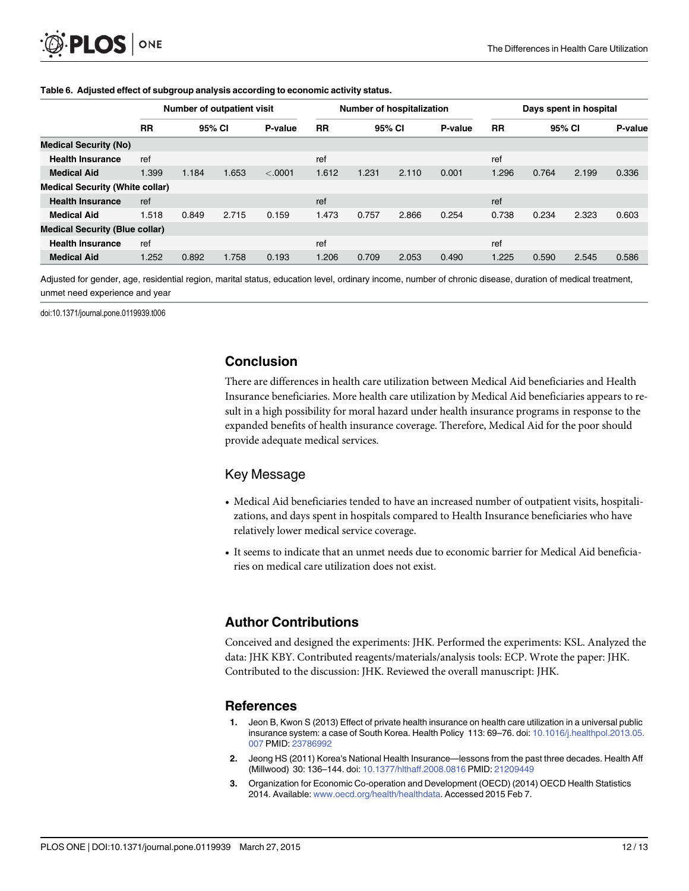|                                        | Number of outpatient visit |        |       |         | Number of hospitalization |       |        |         | Days spent in hospital |        |       |         |
|----------------------------------------|----------------------------|--------|-------|---------|---------------------------|-------|--------|---------|------------------------|--------|-------|---------|
|                                        | <b>RR</b>                  | 95% CI |       | P-value | <b>RR</b>                 |       | 95% CI | P-value | <b>RR</b>              | 95% CI |       | P-value |
| <b>Medical Security (No)</b>           |                            |        |       |         |                           |       |        |         |                        |        |       |         |
| <b>Health Insurance</b>                | ref                        |        |       |         | ref                       |       |        |         | ref                    |        |       |         |
| <b>Medical Aid</b>                     | 1.399                      | 1.184  | 1.653 | < .0001 | 1.612                     | 1.231 | 2.110  | 0.001   | 1.296                  | 0.764  | 2.199 | 0.336   |
| <b>Medical Security (White collar)</b> |                            |        |       |         |                           |       |        |         |                        |        |       |         |
| <b>Health Insurance</b>                | ref                        |        |       |         | ref                       |       |        |         | ref                    |        |       |         |
| <b>Medical Aid</b>                     | 1.518                      | 0.849  | 2.715 | 0.159   | 1.473                     | 0.757 | 2.866  | 0.254   | 0.738                  | 0.234  | 2.323 | 0.603   |
| <b>Medical Security (Blue collar)</b>  |                            |        |       |         |                           |       |        |         |                        |        |       |         |
| <b>Health Insurance</b>                | ref                        |        |       |         | ref                       |       |        |         | ref                    |        |       |         |
| <b>Medical Aid</b>                     | 1.252                      | 0.892  | 1.758 | 0.193   | 1.206                     | 0.709 | 2.053  | 0.490   | 1.225                  | 0.590  | 2.545 | 0.586   |

#### <span id="page-11-0"></span>[Table 6.](#page-7-0) Adjusted effect of subgroup analysis according to economic activity status.

Adjusted for gender, age, residential region, marital status, education level, ordinary income, number of chronic disease, duration of medical treatment, unmet need experience and year

doi:10.1371/journal.pone.0119939.t006

### Conclusion

There are differences in health care utilization between Medical Aid beneficiaries and Health Insurance beneficiaries. More health care utilization by Medical Aid beneficiaries appears to result in a high possibility for moral hazard under health insurance programs in response to the expanded benefits of health insurance coverage. Therefore, Medical Aid for the poor should provide adequate medical services.

### Key Message

- Medical Aid beneficiaries tended to have an increased number of outpatient visits, hospitalizations, and days spent in hospitals compared to Health Insurance beneficiaries who have relatively lower medical service coverage.
- It seems to indicate that an unmet needs due to economic barrier for Medical Aid beneficiaries on medical care utilization does not exist.

# Author Contributions

Conceived and designed the experiments: JHK. Performed the experiments: KSL. Analyzed the data: JHK KBY. Contributed reagents/materials/analysis tools: ECP. Wrote the paper: JHK. Contributed to the discussion: JHK. Reviewed the overall manuscript: JHK.

### References

- [1.](#page-1-0) Jeon B, Kwon S (2013) Effect of private health insurance on health care utilization in a universal public insurance system: a case of South Korea. Health Policy 113: 69–76. doi: [10.1016/j.healthpol.2013.05.](http://dx.doi.org/10.1016/j.healthpol.2013.05.007) [007](http://dx.doi.org/10.1016/j.healthpol.2013.05.007) PMID: [23786992](http://www.ncbi.nlm.nih.gov/pubmed/23786992)
- [2.](#page-1-0) Jeong HS (2011) Korea's National Health Insurance—lessons from the past three decades. Health Aff (Millwood) 30: 136–144. doi: [10.1377/hlthaff.2008.0816](http://dx.doi.org/10.1377/hlthaff.2008.0816) PMID: [21209449](http://www.ncbi.nlm.nih.gov/pubmed/21209449)
- [3.](#page-1-0) Organization for Economic Co-operation and Development (OECD) (2014) OECD Health Statistics 2014. Available: [www.oecd.org/health/healthdata](http://www.oecd.org/health/healthdata). Accessed 2015 Feb 7.